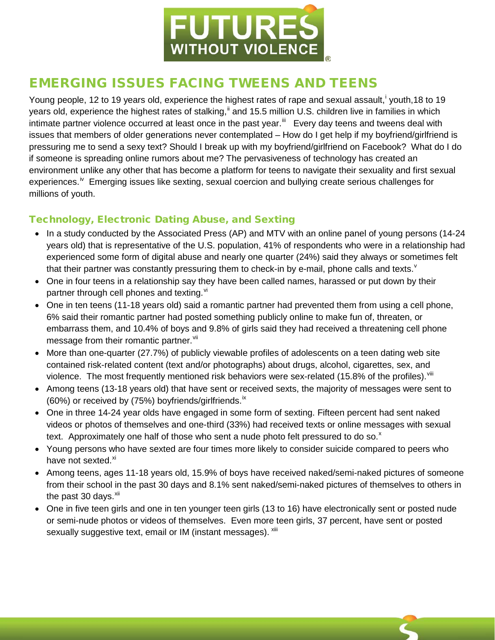

## EMERGING ISSUES FACING TWEENS AND TEENS

Young people, 12 to 19 years old, exper[i](#page-2-0)ence the highest rates of rape and sexual assault, vouth,18 to 19 years old, experience the highest rates of stalking,<sup>[ii](#page-2-1)</sup> and 15.5 million U.S. children live in families in which intimate partner violence occurred at least once in the past year.<sup>[iii](#page-2-2)</sup> Every day teens and tweens deal with issues that members of older generations never contemplated – How do I get help if my boyfriend/girlfriend is pressuring me to send a sexy text? Should I break up with my boyfriend/girlfriend on Facebook? What do I do if someone is spreading online rumors about me? The pervasiveness of technology has created an environment unlike any other that has become a platform for teens to navigate their sexuality and first sexual experiences.<sup>iv</sup> Emerging issues like sexting, sexual coercion and bullying create serious challenges for millions of youth.

## Technology, Electronic Dating Abuse, and Sexting

- In a study conducted by the Associated Press (AP) and MTV with an online panel of young persons (14-24 years old) that is representative of the U.S. population, 41% of respondents who were in a relationship had experienced some form of digital abuse and nearly one quarter (24%) said they always or sometimes felt that their partner was constantly pressuring them to check-in by e-mail, phone calls and texts. $v$
- One in four teens in a relationship say they have been called names, harassed or put down by their partner through cell phones and texting. [vi](#page-2-5)
- One in ten teens (11-18 years old) said a romantic partner had prevented them from using a cell phone, 6% said their romantic partner had posted something publicly online to make fun of, threaten, or embarrass them, and 10.4% of boys and 9.8% of girls said they had received a threatening cell phone message from their romantic partner.<sup>[vii](#page-2-6)</sup>
- More than one-quarter (27.7%) of publicly viewable profiles of adolescents on a teen dating web site contained risk-related content (text and/or photographs) about drugs, alcohol, cigarettes, sex, and violence. The most frequently mentioned risk behaviors were sex-related (15.8% of the profiles). Vili
- Among teens (13-18 years old) that have sent or received sexts, the majority of messages were sent to (60%) or received by  $(75%)$  boyfriends/girlfriends.<sup>[ix](#page-2-8)</sup>
- One in three 14-24 year olds have engaged in some form of sexting. Fifteen percent had sent naked videos or photos of themselves and one-third (33%) had received texts or online messages with sexual te[x](#page-2-9)t. Approximately one half of those who sent a nude photo felt pressured to do so. $^x$
- Young persons who have sexted are four times more likely to consider suicide compared to peers who have not sexted.<sup>[xi](#page-2-10)</sup>
- Among teens, ages 11-18 years old, 15.9% of boys have received naked/semi-naked pictures of someone from their school in the past 30 days and 8.1% sent naked/semi-naked pictures of themselves to others in the past  $30$  days.  $xii$
- One in five teen girls and one in ten younger teen girls (13 to 16) have electronically sent or posted nude or semi-nude photos or videos of themselves. Even more teen girls, 37 percent, have sent or posted sexually suggestive text, email or IM (instant messages). Xili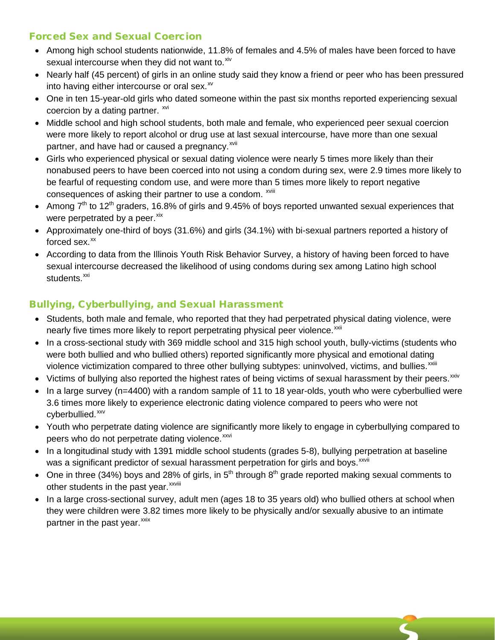## Forced Sex and Sexual Coercion

- Among high school students nationwide, 11.8% of females and 4.5% of males have been forced to have sexual intercourse when they did not want to. Xiv
- Nearly half (45 percent) of girls in an online study said they know a friend or peer who has been pressured into having either intercourse or oral sex. $x^2$
- One in ten 15-year-old girls who dated someone within the past six months reported experiencing sexual coercion by a dating partner. [xvi](#page-2-15)
- Middle school and high school students, both male and female, who experienced peer sexual coercion were more likely to report alcohol or drug use at last sexual intercourse, have more than one sexual partner, and have had or caused a pregnancy.<sup>[xvii](#page-2-16)</sup>
- Girls who experienced physical or sexual dating violence were nearly 5 times more likely than their nonabused peers to have been coerced into not using a condom during sex, were 2.9 times more likely to be fearful of requesting condom use, and were more than 5 times more likely to report negative consequences of asking their partner to use a condom. <sup>xviii</sup>
- Among  $7<sup>th</sup>$  to 12<sup>th</sup> graders, 16.8% of girls and 9.45% of boys reported unwanted sexual experiences that were perpetrated by a peer. [xix](#page-2-17)
- Approximately one-third of boys (31.6%) and girls (34.1%) with bi-sexual partners reported a history of forced sex. $\frac{xx}{x}$  $\frac{xx}{x}$  $\frac{xx}{x}$
- According to data from the Illinois Youth Risk Behavior Survey, a history of having been forced to have sexual intercourse decreased the likelihood of using condoms during sex among Latino high school students.<sup>[xxi](#page-2-19)</sup>

## Bullying, Cyberbullying, and Sexual Harassment

- Students, both male and female, who reported that they had perpetrated physical dating violence, were nearly five times more likely to report perpetrating physical peer violence.<sup>[xxii](#page-2-20)</sup>
- In a cross-sectional study with 369 middle school and 315 high school youth, bully-victims (students who were both bullied and who bullied others) reported significantly more physical and emotional dating violence victimization compared to three other bullying subtypes: uninvolved, victims, and bullies.<sup>xxiii</sup>
- Victims of bullying also reported the highest rates of being victims of sexual harassment by their peers. $x_{xiv}$
- In a large survey (n=4400) with a random sample of 11 to 18 year-olds, youth who were cyberbullied were 3.6 times more likely to experience electronic dating violence compared to peers who were not cyberbullied.<sup>[xxv](#page-2-22)</sup>
- Youth who perpetrate dating violence are significantly more likely to engage in cyberbullying compared to peers who do not perpetrate dating violence.<sup>[xxvi](#page-2-23)</sup>
- In a longitudinal study with 1391 middle school students (grades 5-8), bullying perpetration at baseline was a s[i](#page-2-24)gnificant predictor of sexual harassment perpetration for girls and boys. XXVII
- One in three (34%) boys and 28% of girls, in  $5<sup>th</sup>$  through  $8<sup>th</sup>$  grade reported making sexual comments to other students [i](#page-2-25)n the past year.<sup>xxviii</sup>
- In a large cross-sectional survey, adult men (ages 18 to 35 years old) who bullied others at school when they were children were 3.82 times more likely to be physically and/or sexually abusive to an intimate partner in the past year.<sup>[xxix](#page-2-26)</sup>